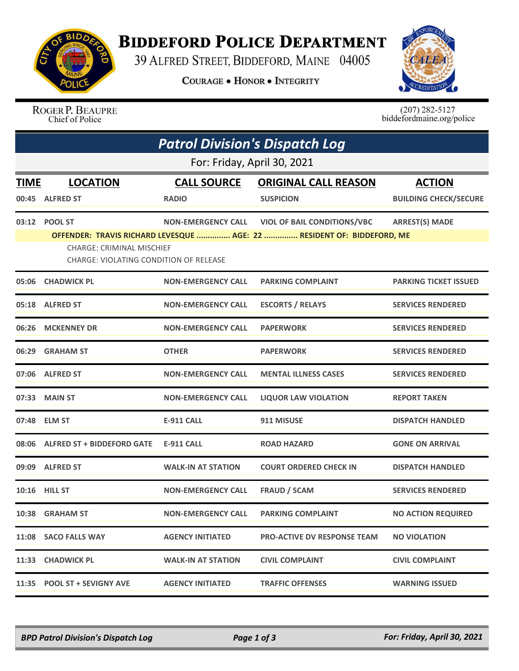

## **BIDDEFORD POLICE DEPARTMENT**

39 ALFRED STREET, BIDDEFORD, MAINE 04005

**COURAGE . HONOR . INTEGRITY** 



ROGER P. BEAUPRE<br>Chief of Police

 $(207)$  282-5127<br>biddefordmaine.org/police

|                             | <b>Patrol Division's Dispatch Log</b>                                      |                           |                                                                        |                              |  |  |  |
|-----------------------------|----------------------------------------------------------------------------|---------------------------|------------------------------------------------------------------------|------------------------------|--|--|--|
| For: Friday, April 30, 2021 |                                                                            |                           |                                                                        |                              |  |  |  |
| <b>TIME</b>                 | <b>LOCATION</b>                                                            | <b>CALL SOURCE</b>        | <b>ORIGINAL CALL REASON</b>                                            | <b>ACTION</b>                |  |  |  |
| 00:45                       | <b>ALFRED ST</b>                                                           | <b>RADIO</b>              | <b>SUSPICION</b>                                                       | <b>BUILDING CHECK/SECURE</b> |  |  |  |
|                             | 03:12 POOL ST                                                              | <b>NON-EMERGENCY CALL</b> | <b>VIOL OF BAIL CONDITIONS/VBC</b>                                     | <b>ARREST(S) MADE</b>        |  |  |  |
|                             | <b>CHARGE: CRIMINAL MISCHIEF</b><br>CHARGE: VIOLATING CONDITION OF RELEASE |                           | OFFENDER: TRAVIS RICHARD LEVESQUE  AGE: 22  RESIDENT OF: BIDDEFORD, ME |                              |  |  |  |
|                             | 05:06 CHADWICK PL                                                          | <b>NON-EMERGENCY CALL</b> | <b>PARKING COMPLAINT</b>                                               | <b>PARKING TICKET ISSUED</b> |  |  |  |
| 05:18                       | <b>ALFRED ST</b>                                                           | <b>NON-EMERGENCY CALL</b> | <b>ESCORTS / RELAYS</b>                                                | <b>SERVICES RENDERED</b>     |  |  |  |
|                             | 06:26 MCKENNEY DR                                                          | <b>NON-EMERGENCY CALL</b> | <b>PAPERWORK</b>                                                       | <b>SERVICES RENDERED</b>     |  |  |  |
| 06:29                       | <b>GRAHAM ST</b>                                                           | <b>OTHER</b>              | <b>PAPERWORK</b>                                                       | <b>SERVICES RENDERED</b>     |  |  |  |
|                             | 07:06 ALFRED ST                                                            | <b>NON-EMERGENCY CALL</b> | <b>MENTAL ILLNESS CASES</b>                                            | <b>SERVICES RENDERED</b>     |  |  |  |
|                             | 07:33 MAIN ST                                                              | <b>NON-EMERGENCY CALL</b> | <b>LIQUOR LAW VIOLATION</b>                                            | <b>REPORT TAKEN</b>          |  |  |  |
| 07:48                       | <b>ELM ST</b>                                                              | <b>E-911 CALL</b>         | 911 MISUSE                                                             | <b>DISPATCH HANDLED</b>      |  |  |  |
|                             | 08:06 ALFRED ST + BIDDEFORD GATE                                           | <b>E-911 CALL</b>         | <b>ROAD HAZARD</b>                                                     | <b>GONE ON ARRIVAL</b>       |  |  |  |
|                             | 09:09 ALFRED ST                                                            | <b>WALK-IN AT STATION</b> | <b>COURT ORDERED CHECK IN</b>                                          | <b>DISPATCH HANDLED</b>      |  |  |  |
|                             | 10:16 HILL ST                                                              | <b>NON-EMERGENCY CALL</b> | <b>FRAUD / SCAM</b>                                                    | <b>SERVICES RENDERED</b>     |  |  |  |
|                             | 10:38 GRAHAM ST                                                            | <b>NON-EMERGENCY CALL</b> | <b>PARKING COMPLAINT</b>                                               | <b>NO ACTION REQUIRED</b>    |  |  |  |
|                             | 11:08 SACO FALLS WAY                                                       | <b>AGENCY INITIATED</b>   | <b>PRO-ACTIVE DV RESPONSE TEAM</b>                                     | <b>NO VIOLATION</b>          |  |  |  |
| 11:33                       | <b>CHADWICK PL</b>                                                         | WALK-IN AT STATION        | <b>CIVIL COMPLAINT</b>                                                 | <b>CIVIL COMPLAINT</b>       |  |  |  |
| 11:35                       | <b>POOL ST + SEVIGNY AVE</b>                                               | <b>AGENCY INITIATED</b>   | <b>TRAFFIC OFFENSES</b>                                                | <b>WARNING ISSUED</b>        |  |  |  |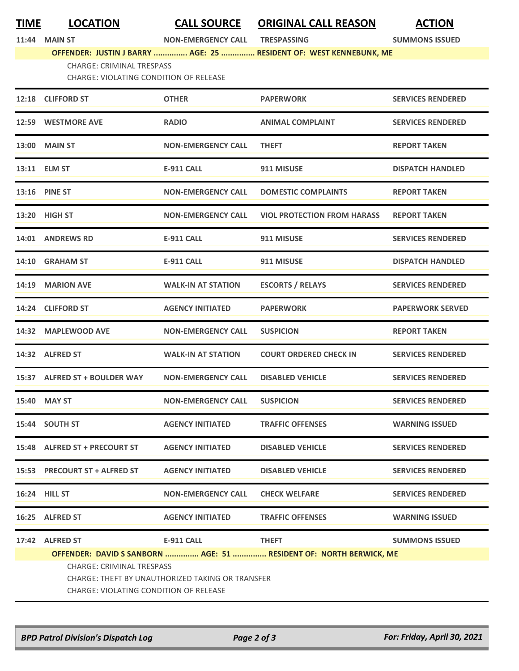**11:44 MAIN ST NON-EMERGENCY CALL TRESPASSING SUMMONS ISSUED**

**OFFENDER: JUSTIN J BARRY ............... AGE: 25 ............... RESIDENT OF: WEST KENNEBUNK, ME**

CHARGE: CRIMINAL TRESPASS

CHARGE: VIOLATING CONDITION OF RELEASE

| 12:18 CLIFFORD ST                                                                               | <b>OTHER</b>              | <b>PAPERWORK</b>                   | <b>SERVICES RENDERED</b> |  |
|-------------------------------------------------------------------------------------------------|---------------------------|------------------------------------|--------------------------|--|
| 12:59 WESTMORE AVE                                                                              | <b>RADIO</b>              | <b>ANIMAL COMPLAINT</b>            | <b>SERVICES RENDERED</b> |  |
| 13:00 MAIN ST                                                                                   | <b>NON-EMERGENCY CALL</b> | <b>THEFT</b>                       | <b>REPORT TAKEN</b>      |  |
| 13:11 ELM ST                                                                                    | <b>E-911 CALL</b>         | 911 MISUSE                         | <b>DISPATCH HANDLED</b>  |  |
| <b>13:16 PINE ST</b>                                                                            | <b>NON-EMERGENCY CALL</b> | <b>DOMESTIC COMPLAINTS</b>         | <b>REPORT TAKEN</b>      |  |
| 13:20 HIGH ST                                                                                   | <b>NON-EMERGENCY CALL</b> | <b>VIOL PROTECTION FROM HARASS</b> | <b>REPORT TAKEN</b>      |  |
| 14:01 ANDREWS RD                                                                                | <b>E-911 CALL</b>         | 911 MISUSE                         | <b>SERVICES RENDERED</b> |  |
| 14:10 GRAHAM ST                                                                                 | <b>E-911 CALL</b>         | 911 MISUSE                         | <b>DISPATCH HANDLED</b>  |  |
| 14:19 MARION AVE                                                                                | <b>WALK-IN AT STATION</b> | <b>ESCORTS / RELAYS</b>            | <b>SERVICES RENDERED</b> |  |
| 14:24 CLIFFORD ST                                                                               | <b>AGENCY INITIATED</b>   | <b>PAPERWORK</b>                   | <b>PAPERWORK SERVED</b>  |  |
| 14:32 MAPLEWOOD AVE                                                                             | <b>NON-EMERGENCY CALL</b> | <b>SUSPICION</b>                   | <b>REPORT TAKEN</b>      |  |
| 14:32 ALFRED ST                                                                                 | <b>WALK-IN AT STATION</b> | <b>COURT ORDERED CHECK IN</b>      | <b>SERVICES RENDERED</b> |  |
| 15:37 ALFRED ST + BOULDER WAY                                                                   | <b>NON-EMERGENCY CALL</b> | <b>DISABLED VEHICLE</b>            | <b>SERVICES RENDERED</b> |  |
| 15:40 MAY ST                                                                                    | <b>NON-EMERGENCY CALL</b> | <b>SUSPICION</b>                   | <b>SERVICES RENDERED</b> |  |
| 15:44 SOUTH ST                                                                                  | <b>AGENCY INITIATED</b>   | <b>TRAFFIC OFFENSES</b>            | <b>WARNING ISSUED</b>    |  |
| 15:48 ALFRED ST + PRECOURT ST                                                                   | <b>AGENCY INITIATED</b>   | <b>DISABLED VEHICLE</b>            | <b>SERVICES RENDERED</b> |  |
| 15:53 PRECOURT ST + ALFRED ST                                                                   | <b>AGENCY INITIATED</b>   | <b>DISABLED VEHICLE</b>            | <b>SERVICES RENDERED</b> |  |
| <b>16:24 HILL ST</b>                                                                            | <b>NON-EMERGENCY CALL</b> | <b>CHECK WELFARE</b>               | <b>SERVICES RENDERED</b> |  |
| 16:25 ALFRED ST                                                                                 | <b>AGENCY INITIATED</b>   | <b>TRAFFIC OFFENSES</b>            | <b>WARNING ISSUED</b>    |  |
| 17:42 ALFRED ST                                                                                 | <b>E-911 CALL</b>         | <b>THEFT</b>                       | <b>SUMMONS ISSUED</b>    |  |
|                                                                                                 |                           |                                    |                          |  |
| OFFENDER: DAVID S SANBORN  AGE: 51  RESIDENT OF: NORTH BERWICK, ME<br>CHARGE: CRIMINAL TRESPASS |                           |                                    |                          |  |
| CHARGE: THEFT BY UNAUTHORIZED TAKING OR TRANSFER                                                |                           |                                    |                          |  |
| CHARGE: VIOLATING CONDITION OF RELEASE                                                          |                           |                                    |                          |  |
|                                                                                                 |                           |                                    |                          |  |